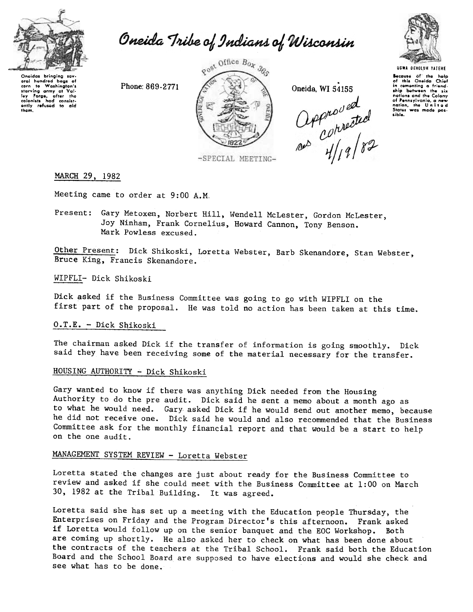

Oneida Tribe of Indians of Wisconsin



Oneida, WI 54155

Phone: 869-2771 Oneida, WI 54155<br>  $OPP^{\mu}O^{\nu}$ ed<br>  $OPP^{\mu}O^{\nu}$ ed<br>  $OPP^{\mu}O^{\nu}P$ 



Because of the help<br>of this Oneida Chief in comenting a friend. ship between the six nations and the Colony<br>of Pennsylvania, a new<br>nation, the United<br>States was made possibl..

Oneidas bringing sev-<br>eral hundred bags of oral hundrod bags of<br>corn to Washington's<br>starving army at Val-Iey Forge, after the<br>colonists had consist<br>ently refused to aid<br>them.

-SPECIAL MEETING-

## MARCH 29, 1982

Meeting came to order at 9:00 A.M.

Present: Gary Metoxen, Norbert Hill, Wendell McLester, Gordon McLester, Joy Ninham, Frank Cornelius, Howard Cannon, Tony Benson. Mark Powless excused.

Other Present: Dick Shikoski, Loretta Webster, Barb Skenandore, Stan Webster, Bruce King, Francis Skenandore.

WIPFLI- Dick Shikoski

Dick asked if the Business Committee was going to go with WIPFLI on the first part of the proposal. He was told no action has been taken at this time.

## D.T.E. -Dick Shikoski

The chairman asked Dick if the transfer of information is going smoothly. Dick said they have been receiving some of the material necessary for the transfer.

# HOUSING AUTHORITY ~ Dick Shikoski

Gary wanted to know if there was anything Dick needed from the Housing Authority to do the pre audit. Dick said he sent a memo about a month ago as to what he would need. Gary. asked Dick if he would send out another memo, because he did not receive one. Dick said he would and also recommended that the Business Committee ask for the monthly financial report and that would be a start to help on the one audit.

# MANAGEMENT SYSTEM REVIEW - Loretta Webster

Loretta stated the changes are just about ready for the Business Committee to review and asked if she could meet with the Business Committee at 1:00 on March 30, 1982 at the Tribal Building. It was agreed.

Loretta said she has set up a meeting with the Education people Thursday. the Enterprises on Friday and the Program Director's this afternoon. Frank asked if Loretta would follow up on the senior banquet and the EOC Workshop. Both are coming up shortly. He also asked her to check on what has been done about the contracts of the teachers at the Tribal School. Frank said both the Education Board and the School Board are supposed to have elections and would she check and see what has to be done.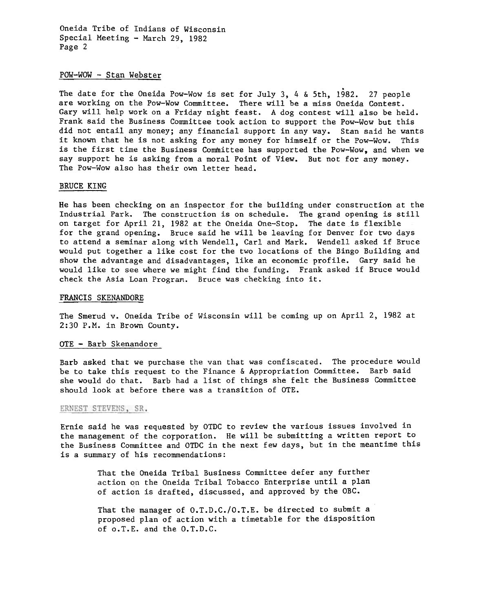Oneida Tribe of Indians of Wisconsin Special Meeting - March 29, 1982 Page 2

## $POW-WOW - Stan Webster$

The date for the Oneida Pow-Wow is set for July 3, 4 & 5th, 1982. 27 people are working on the Pow-Wow Committee. There will be a miss Oneida Contest. Gary will help work on a Friday night feast. A dog contest will also be held. Frank said the Business Committee took action to support the Pow-Wow but this did not entail any money; any financial support in any way. Stan said he wants it known that he is not asking for any money for himself or the Pow-Wow. This is the first time the Business Committee has supported the Pow-Wow, and when we say support he is asking from a moral Point of View. But not for any money. The Pow-Wow also has their own letter head.

#### BRUCE KING

He has been checking on an inspector for the building under construction at the Industrial Park. The construction is on schedule. The grand opening is still on target for April 21, 1982 at the Oneida One-Stop. The date is flexible for the grand opening. Bruce said he will be leaving for Denver for two days to attend a seminar along with Wendell, Carl and Mark. Wendell asked if Bruce would put together a like cost for the two locations of the Bingo Building and show the advantage and disadvantages, like an economic profile. Gary said he would like to see where we might find the funding. Frank asked if Bruce would check the Asia Loan Program. Bruce was checking into it.

#### FRANCIS SKENANDORE

The Smerud v. Oneida Tribe of Wisconsin will be coming up on April 2, 1982 at 2:30 P.M. in Brown County.

#### OTE - Barb Skenandore

Barb asked that we purchase the van that was confiscated. The procedure would be to take this request to the Finance & Appropriation Committee. Barb said she would do that. Barb had a list of things she felt the Business Committee should look at before there was a transition of OTE.

### ERNEST STEVENS, SR.

Ernie said he was requested by OTDC to review the various issues involved in the management of the corporation. He will be submitting a written report to the Business Committee and OTDC in the next few days, but in the meantime this is a summary of his recommendations:

> That the Oneida Tribal Business Committee defer any further action on the Oneida Tribal Tobacco Enterprise until a plan of action is drafted, discussed, and approved by the OBC.

That the manager of O.T.D.C./O.T.E. be directed to submit a proposed plan of action with a timetable for the disposition of o.T.E. and the O.T.D.C.